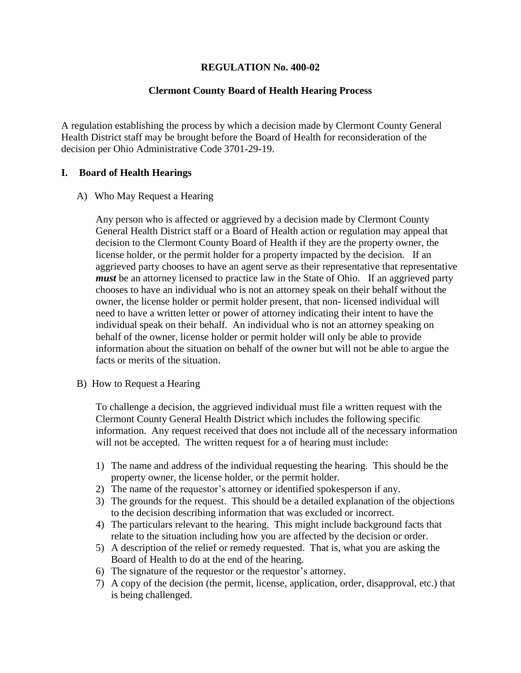### **REGULATION No. 400-02**

### **Clermont County Board of Health Hearing Process**

A regulation establishing the process by which a decision made by Clermont County General Health District staff may be brought before the Board of Health for reconsideration of the decision per Ohio Administrative Code 3701-29-19.

#### **I. Board of Health Hearings**

#### A) Who May Request a Hearing

Any person who is affected or aggrieved by a decision made by Clermont County General Health District staff or a Board of Health action or regulation may appeal that decision to the Clermont County Board of Health if they are the property owner, the license holder, or the permit holder for a property impacted by the decision. If an aggrieved party chooses to have an agent serve as their representative that representative *must* be an attorney licensed to practice law in the State of Ohio. If an aggrieved party chooses to have an individual who is not an attorney speak on their behalf without the owner, the license holder or permit holder present, that non- licensed individual will need to have a written letter or power of attorney indicating their intent to have the individual speak on their behalf. An individual who is not an attorney speaking on behalf of the owner, license holder or permit holder will only be able to provide information about the situation on behalf of the owner but will not be able to argue the facts or merits of the situation.

B) How to Request a Hearing

To challenge a decision, the aggrieved individual must file a written request with the Clermont County General Health District which includes the following specific information. Any request received that does not include all of the necessary information will not be accepted. The written request for a of hearing must include:

- 1) The name and address of the individual requesting the hearing. This should be the property owner, the license holder, or the permit holder.
- 2) The name of the requestor's attorney or identified spokesperson if any.
- 3) The grounds for the request. This should be a detailed explanation of the objections to the decision describing information that was excluded or incorrect.
- 4) The particulars relevant to the hearing. This might include background facts that relate to the situation including how you are affected by the decision or order.
- 5) A description of the relief or remedy requested. That is, what you are asking the Board of Health to do at the end of the hearing.
- 6) The signature of the requestor or the requestor's attorney.
- 7) A copy of the decision (the permit, license, application, order, disapproval, etc.) that is being challenged.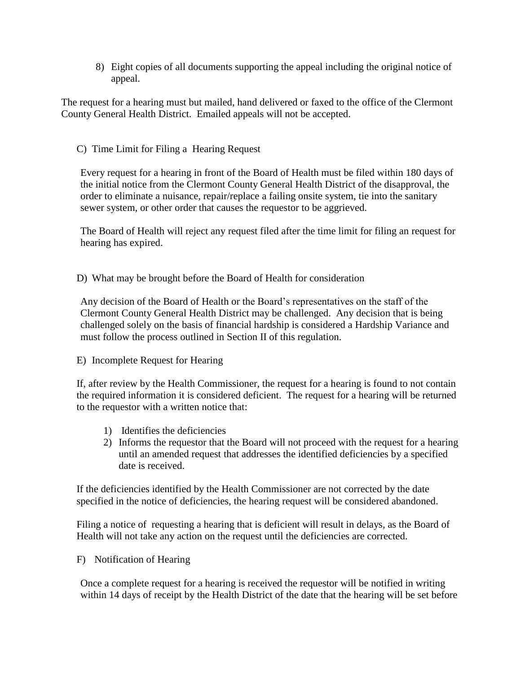8) Eight copies of all documents supporting the appeal including the original notice of appeal.

The request for a hearing must but mailed, hand delivered or faxed to the office of the Clermont County General Health District. Emailed appeals will not be accepted.

## C) Time Limit for Filing a Hearing Request

Every request for a hearing in front of the Board of Health must be filed within 180 days of the initial notice from the Clermont County General Health District of the disapproval, the order to eliminate a nuisance, repair/replace a failing onsite system, tie into the sanitary sewer system, or other order that causes the requestor to be aggrieved.

The Board of Health will reject any request filed after the time limit for filing an request for hearing has expired.

D) What may be brought before the Board of Health for consideration

Any decision of the Board of Health or the Board's representatives on the staff of the Clermont County General Health District may be challenged. Any decision that is being challenged solely on the basis of financial hardship is considered a Hardship Variance and must follow the process outlined in Section II of this regulation.

#### E) Incomplete Request for Hearing

If, after review by the Health Commissioner, the request for a hearing is found to not contain the required information it is considered deficient. The request for a hearing will be returned to the requestor with a written notice that:

- 1) Identifies the deficiencies
- 2) Informs the requestor that the Board will not proceed with the request for a hearing until an amended request that addresses the identified deficiencies by a specified date is received.

If the deficiencies identified by the Health Commissioner are not corrected by the date specified in the notice of deficiencies, the hearing request will be considered abandoned.

Filing a notice of requesting a hearing that is deficient will result in delays, as the Board of Health will not take any action on the request until the deficiencies are corrected.

#### F) Notification of Hearing

Once a complete request for a hearing is received the requestor will be notified in writing within 14 days of receipt by the Health District of the date that the hearing will be set before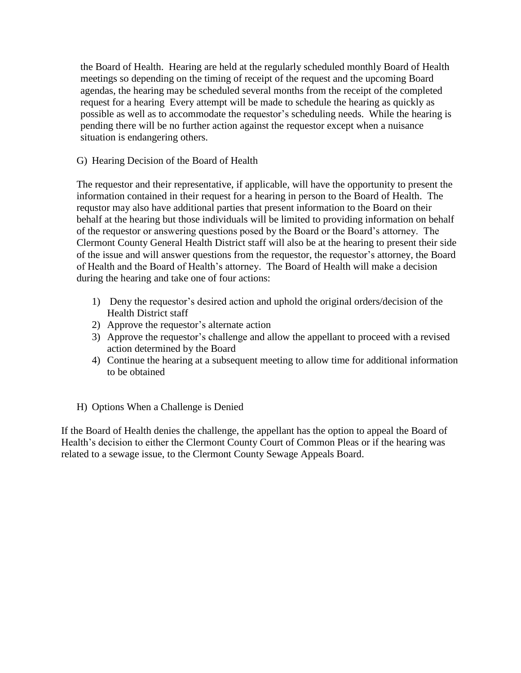the Board of Health. Hearing are held at the regularly scheduled monthly Board of Health meetings so depending on the timing of receipt of the request and the upcoming Board agendas, the hearing may be scheduled several months from the receipt of the completed request for a hearing Every attempt will be made to schedule the hearing as quickly as possible as well as to accommodate the requestor's scheduling needs. While the hearing is pending there will be no further action against the requestor except when a nuisance situation is endangering others.

# G) Hearing Decision of the Board of Health

The requestor and their representative, if applicable, will have the opportunity to present the information contained in their request for a hearing in person to the Board of Health. The requstor may also have additional parties that present information to the Board on their behalf at the hearing but those individuals will be limited to providing information on behalf of the requestor or answering questions posed by the Board or the Board's attorney. The Clermont County General Health District staff will also be at the hearing to present their side of the issue and will answer questions from the requestor, the requestor's attorney, the Board of Health and the Board of Health's attorney. The Board of Health will make a decision during the hearing and take one of four actions:

- 1) Deny the requestor's desired action and uphold the original orders/decision of the Health District staff
- 2) Approve the requestor's alternate action
- 3) Approve the requestor's challenge and allow the appellant to proceed with a revised action determined by the Board
- 4) Continue the hearing at a subsequent meeting to allow time for additional information to be obtained
- H) Options When a Challenge is Denied

If the Board of Health denies the challenge, the appellant has the option to appeal the Board of Health's decision to either the Clermont County Court of Common Pleas or if the hearing was related to a sewage issue, to the Clermont County Sewage Appeals Board.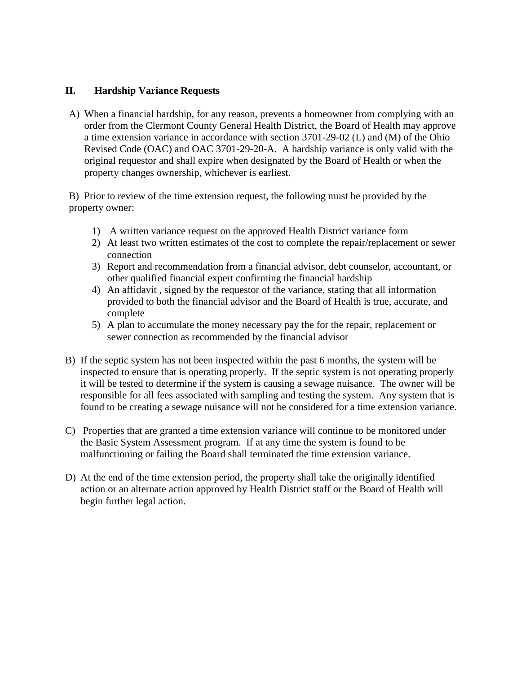# **II. Hardship Variance Requests**

A) When a financial hardship, for any reason, prevents a homeowner from complying with an order from the Clermont County General Health District, the Board of Health may approve a time extension variance in accordance with section 3701-29-02 (L) and (M) of the Ohio Revised Code (OAC) and OAC 3701-29-20-A. A hardship variance is only valid with the original requestor and shall expire when designated by the Board of Health or when the property changes ownership, whichever is earliest.

B) Prior to review of the time extension request, the following must be provided by the property owner:

- 1) A written variance request on the approved Health District variance form
- 2) At least two written estimates of the cost to complete the repair/replacement or sewer connection
- 3) Report and recommendation from a financial advisor, debt counselor, accountant, or other qualified financial expert confirming the financial hardship
- 4) An affidavit , signed by the requestor of the variance, stating that all information provided to both the financial advisor and the Board of Health is true, accurate, and complete
- 5) A plan to accumulate the money necessary pay the for the repair, replacement or sewer connection as recommended by the financial advisor
- B) If the septic system has not been inspected within the past 6 months, the system will be inspected to ensure that is operating properly. If the septic system is not operating properly it will be tested to determine if the system is causing a sewage nuisance. The owner will be responsible for all fees associated with sampling and testing the system. Any system that is found to be creating a sewage nuisance will not be considered for a time extension variance.
- C) Properties that are granted a time extension variance will continue to be monitored under the Basic System Assessment program. If at any time the system is found to be malfunctioning or failing the Board shall terminated the time extension variance.
- D) At the end of the time extension period, the property shall take the originally identified action or an alternate action approved by Health District staff or the Board of Health will begin further legal action.